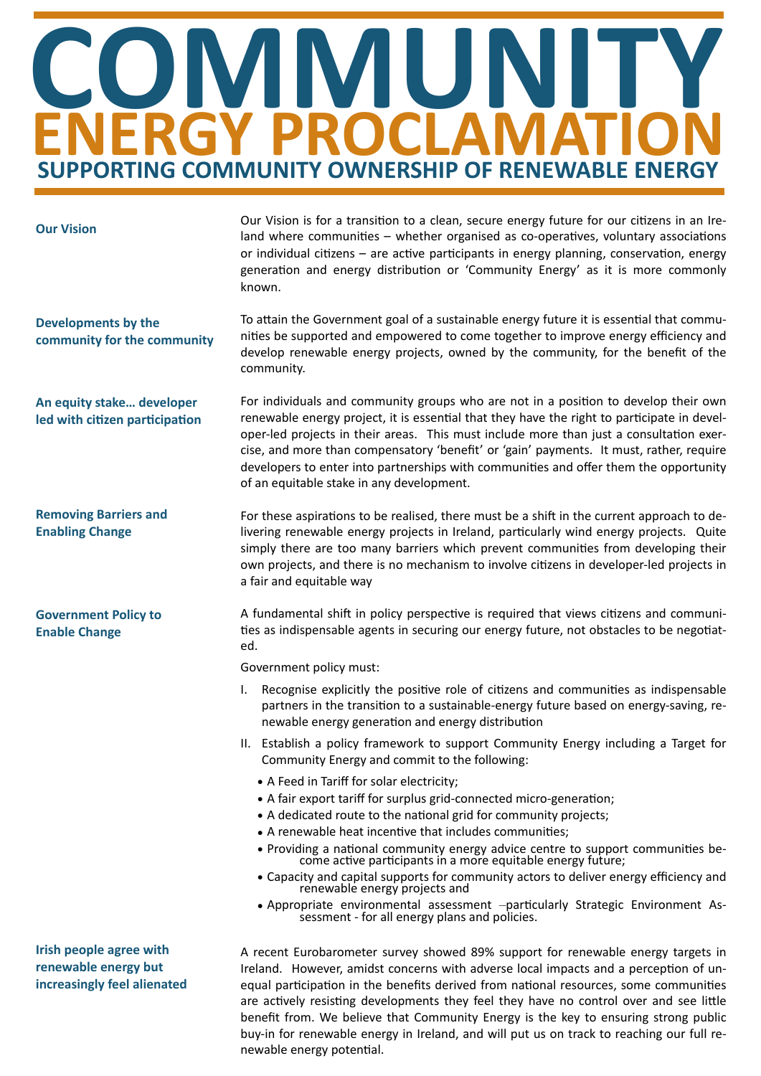## **ENERGY PROCLAMATION COMMUNITY SUPPORTING COMMUNITY OWNERSHIP OF RENEWABLE ENERGY**

| <b>Our Vision</b>                                           | Our Vision is for a transition to a clean, secure energy future for our citizens in an Ire-<br>land where communities – whether organised as co-operatives, voluntary associations<br>or individual citizens – are active participants in energy planning, conservation, energy<br>generation and energy distribution or 'Community Energy' as it is more commonly<br>known.                                                                                                                                   |
|-------------------------------------------------------------|----------------------------------------------------------------------------------------------------------------------------------------------------------------------------------------------------------------------------------------------------------------------------------------------------------------------------------------------------------------------------------------------------------------------------------------------------------------------------------------------------------------|
| <b>Developments by the</b><br>community for the community   | To attain the Government goal of a sustainable energy future it is essential that commu-<br>nities be supported and empowered to come together to improve energy efficiency and<br>develop renewable energy projects, owned by the community, for the benefit of the<br>community.                                                                                                                                                                                                                             |
| An equity stake developer<br>led with citizen participation | For individuals and community groups who are not in a position to develop their own<br>renewable energy project, it is essential that they have the right to participate in devel-<br>oper-led projects in their areas. This must include more than just a consultation exer-<br>cise, and more than compensatory 'benefit' or 'gain' payments. It must, rather, require<br>developers to enter into partnerships with communities and offer them the opportunity<br>of an equitable stake in any development. |
| <b>Removing Barriers and</b><br><b>Enabling Change</b>      | For these aspirations to be realised, there must be a shift in the current approach to de-<br>livering renewable energy projects in Ireland, particularly wind energy projects. Quite<br>simply there are too many barriers which prevent communities from developing their<br>own projects, and there is no mechanism to involve citizens in developer-led projects in<br>a fair and equitable way                                                                                                            |
| <b>Government Policy to</b><br><b>Enable Change</b>         | A fundamental shift in policy perspective is required that views citizens and communi-<br>ties as indispensable agents in securing our energy future, not obstacles to be negotiat-<br>ed.                                                                                                                                                                                                                                                                                                                     |
|                                                             | Government policy must:                                                                                                                                                                                                                                                                                                                                                                                                                                                                                        |
|                                                             | Recognise explicitly the positive role of citizens and communities as indispensable<br>partners in the transition to a sustainable-energy future based on energy-saving, re-<br>newable energy generation and energy distribution                                                                                                                                                                                                                                                                              |

- II. Establish a policy framework to support Community Energy including a Target for Community Energy and commit to the following:
	- A Feed in Tariff for solar electricity;
	- A fair export tariff for surplus grid-connected micro-generation;
	-
	- A dedicated route to the national grid for community projects;
	- A renewable heat incentive that includes communities;
	- Providing a national community energy advice centre to support communities be-<br>come active participants in a more equitable energy future;
	- Capacity and capital supports for community actors to deliver energy efficiency and<br>renewable energy projects and
	- Appropriate environmental assessment -particularly Strategic Environment As-<br>sessment for all energy plans and policies.

**Irish people agree with** renewable energy but **increasingly feel alienated**

A recent Eurobarometer survey showed 89% support for renewable energy targets in Ireland. However, amidst concerns with adverse local impacts and a perception of unequal participation in the benefits derived from national resources, some communities are actively resisting developments they feel they have no control over and see little benefit from. We believe that Community Energy is the key to ensuring strong public buy-in for renewable energy in Ireland, and will put us on track to reaching our full renewable energy potential.